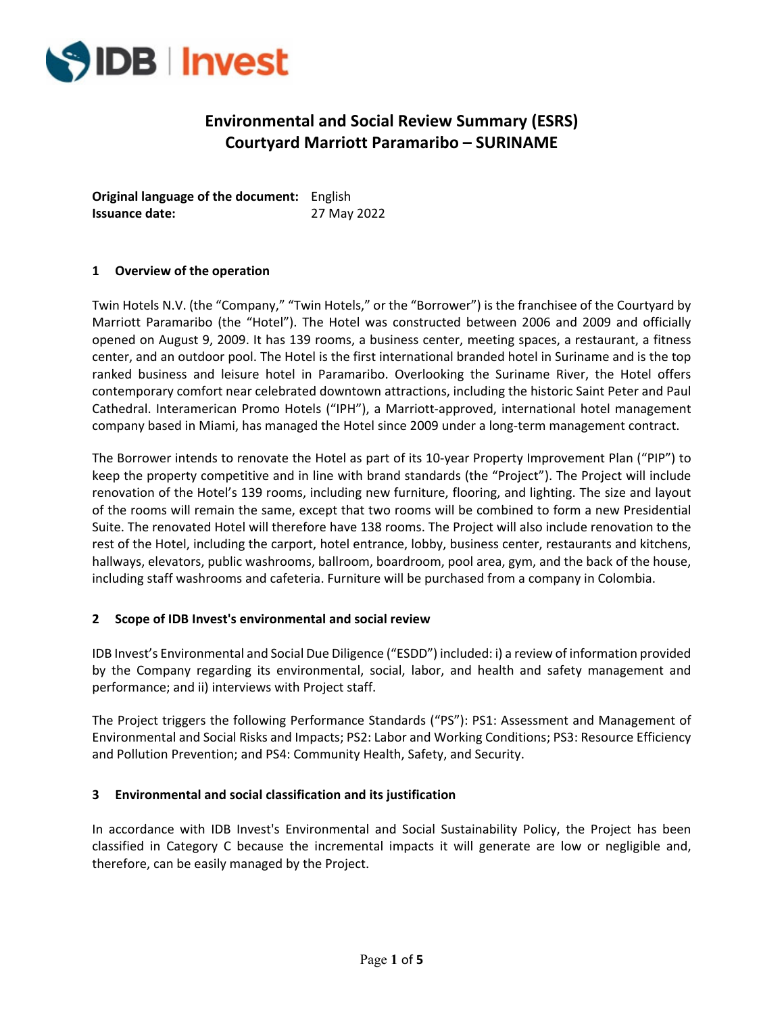

# **Environmental and Social Review Summary (ESRS) Courtyard Marriott Paramaribo – SURINAME**

**Original language of the document:**  English **Issuance date:** 27 May 2022

## **1 Overview of the operation**

Twin Hotels N.V. (the "Company," "Twin Hotels," or the "Borrower") is the franchisee of the Courtyard by Marriott Paramaribo (the "Hotel"). The Hotel was constructed between 2006 and 2009 and officially opened on August 9, 2009. It has 139 rooms, a business center, meeting spaces, a restaurant, a fitness center, and an outdoor pool. The Hotel is the first international branded hotel in Suriname and is the top ranked business and leisure hotel in Paramaribo. Overlooking the Suriname River, the Hotel offers contemporary comfort near celebrated downtown attractions, including the historic Saint Peter and Paul Cathedral. Interamerican Promo Hotels ("IPH"), a Marriott‐approved, international hotel management company based in Miami, has managed the Hotel since 2009 under a long‐term management contract.

The Borrower intends to renovate the Hotel as part of its 10‐year Property Improvement Plan ("PIP") to keep the property competitive and in line with brand standards (the "Project"). The Project will include renovation of the Hotel's 139 rooms, including new furniture, flooring, and lighting. The size and layout of the rooms will remain the same, except that two rooms will be combined to form a new Presidential Suite. The renovated Hotel will therefore have 138 rooms. The Project will also include renovation to the rest of the Hotel, including the carport, hotel entrance, lobby, business center, restaurants and kitchens, hallways, elevators, public washrooms, ballroom, boardroom, pool area, gym, and the back of the house, including staff washrooms and cafeteria. Furniture will be purchased from a company in Colombia.

## **2 Scope of IDB Invest's environmental and social review**

IDB Invest's Environmental and Social Due Diligence ("ESDD") included: i) a review of information provided by the Company regarding its environmental, social, labor, and health and safety management and performance; and ii) interviews with Project staff.

The Project triggers the following Performance Standards ("PS"): PS1: Assessment and Management of Environmental and Social Risks and Impacts; PS2: Labor and Working Conditions; PS3: Resource Efficiency and Pollution Prevention; and PS4: Community Health, Safety, and Security.

## **3 Environmental and social classification and its justification**

In accordance with IDB Invest's Environmental and Social Sustainability Policy, the Project has been classified in Category C because the incremental impacts it will generate are low or negligible and, therefore, can be easily managed by the Project.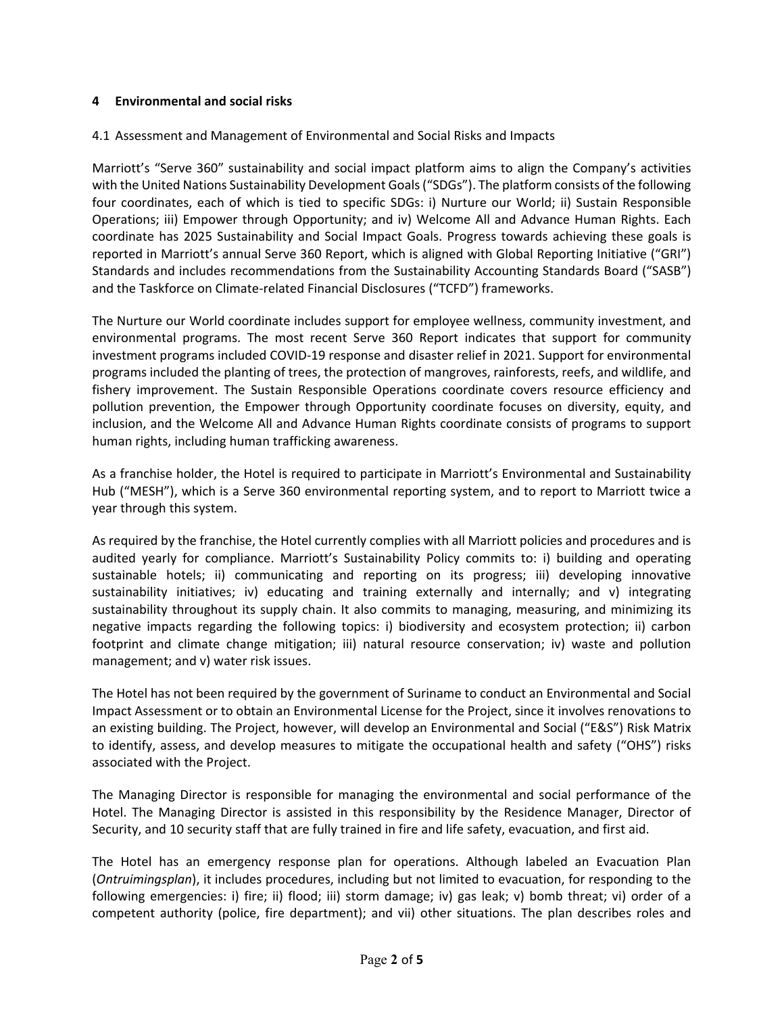## **4 Environmental and social risks**

## 4.1 Assessment and Management of Environmental and Social Risks and Impacts

Marriott's "Serve 360" sustainability and social impact platform aims to align the Company's activities with the United Nations Sustainability Development Goals("SDGs"). The platform consists of the following four coordinates, each of which is tied to specific SDGs: i) Nurture our World; ii) Sustain Responsible Operations; iii) Empower through Opportunity; and iv) Welcome All and Advance Human Rights. Each coordinate has 2025 Sustainability and Social Impact Goals. Progress towards achieving these goals is reported in Marriott's annual Serve 360 Report, which is aligned with Global Reporting Initiative ("GRI") Standards and includes recommendations from the Sustainability Accounting Standards Board ("SASB") and the Taskforce on Climate‐related Financial Disclosures ("TCFD") frameworks.

The Nurture our World coordinate includes support for employee wellness, community investment, and environmental programs. The most recent Serve 360 Report indicates that support for community investment programs included COVID‐19 response and disaster relief in 2021. Support for environmental programs included the planting of trees, the protection of mangroves, rainforests, reefs, and wildlife, and fishery improvement. The Sustain Responsible Operations coordinate covers resource efficiency and pollution prevention, the Empower through Opportunity coordinate focuses on diversity, equity, and inclusion, and the Welcome All and Advance Human Rights coordinate consists of programs to support human rights, including human trafficking awareness.

As a franchise holder, the Hotel is required to participate in Marriott's Environmental and Sustainability Hub ("MESH"), which is a Serve 360 environmental reporting system, and to report to Marriott twice a year through this system.

As required by the franchise, the Hotel currently complies with all Marriott policies and procedures and is audited yearly for compliance. Marriott's Sustainability Policy commits to: i) building and operating sustainable hotels; ii) communicating and reporting on its progress; iii) developing innovative sustainability initiatives; iv) educating and training externally and internally; and v) integrating sustainability throughout its supply chain. It also commits to managing, measuring, and minimizing its negative impacts regarding the following topics: i) biodiversity and ecosystem protection; ii) carbon footprint and climate change mitigation; iii) natural resource conservation; iv) waste and pollution management; and v) water risk issues.

The Hotel has not been required by the government of Suriname to conduct an Environmental and Social Impact Assessment or to obtain an Environmental License for the Project, since it involves renovations to an existing building. The Project, however, will develop an Environmental and Social ("E&S") Risk Matrix to identify, assess, and develop measures to mitigate the occupational health and safety ("OHS") risks associated with the Project.

The Managing Director is responsible for managing the environmental and social performance of the Hotel. The Managing Director is assisted in this responsibility by the Residence Manager, Director of Security, and 10 security staff that are fully trained in fire and life safety, evacuation, and first aid.

The Hotel has an emergency response plan for operations. Although labeled an Evacuation Plan (*Ontruimingsplan*), it includes procedures, including but not limited to evacuation, for responding to the following emergencies: i) fire; ii) flood; iii) storm damage; iv) gas leak; v) bomb threat; vi) order of a competent authority (police, fire department); and vii) other situations. The plan describes roles and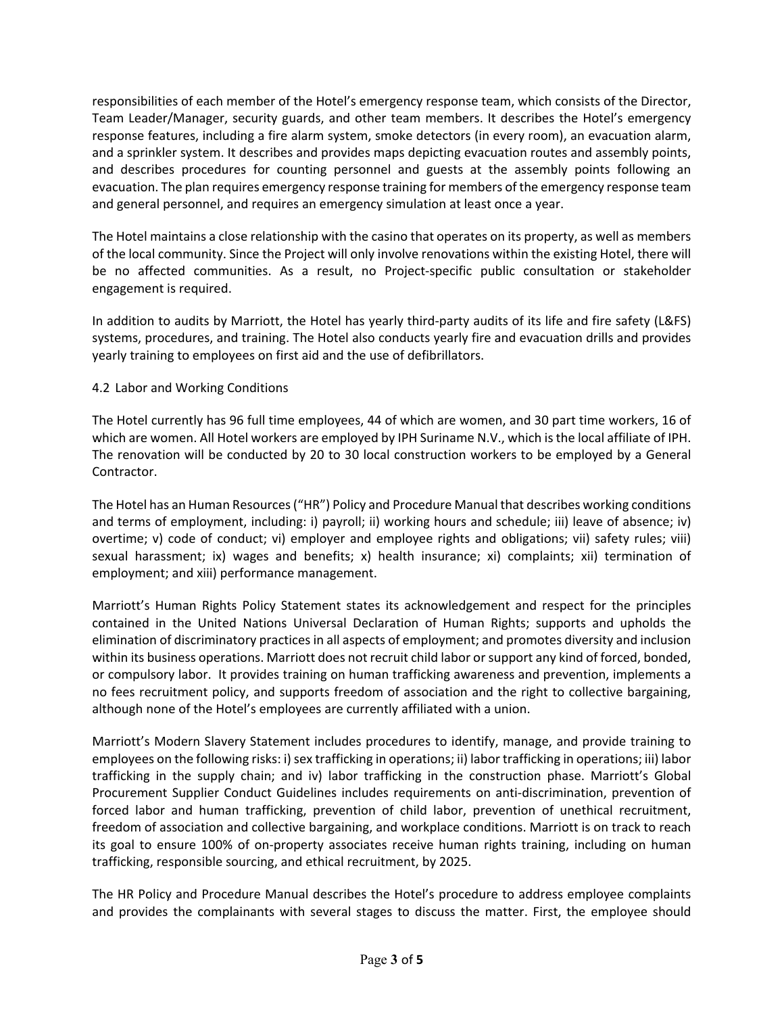responsibilities of each member of the Hotel's emergency response team, which consists of the Director, Team Leader/Manager, security guards, and other team members. It describes the Hotel's emergency response features, including a fire alarm system, smoke detectors (in every room), an evacuation alarm, and a sprinkler system. It describes and provides maps depicting evacuation routes and assembly points, and describes procedures for counting personnel and guests at the assembly points following an evacuation. The plan requires emergency response training for members of the emergency response team and general personnel, and requires an emergency simulation at least once a year.

The Hotel maintains a close relationship with the casino that operates on its property, as well as members of the local community. Since the Project will only involve renovations within the existing Hotel, there will be no affected communities. As a result, no Project-specific public consultation or stakeholder engagement is required.

In addition to audits by Marriott, the Hotel has yearly third‐party audits of its life and fire safety (L&FS) systems, procedures, and training. The Hotel also conducts yearly fire and evacuation drills and provides yearly training to employees on first aid and the use of defibrillators.

## 4.2 Labor and Working Conditions

The Hotel currently has 96 full time employees, 44 of which are women, and 30 part time workers, 16 of which are women. All Hotel workers are employed by IPH Suriname N.V., which is the local affiliate of IPH. The renovation will be conducted by 20 to 30 local construction workers to be employed by a General Contractor.

The Hotel has an Human Resources("HR") Policy and Procedure Manual that describes working conditions and terms of employment, including: i) payroll; ii) working hours and schedule; iii) leave of absence; iv) overtime; v) code of conduct; vi) employer and employee rights and obligations; vii) safety rules; viii) sexual harassment; ix) wages and benefits; x) health insurance; xi) complaints; xii) termination of employment; and xiii) performance management.

Marriott's Human Rights Policy Statement states its acknowledgement and respect for the principles contained in the United Nations Universal Declaration of Human Rights; supports and upholds the elimination of discriminatory practicesin all aspects of employment; and promotes diversity and inclusion within its business operations. Marriott does not recruit child labor or support any kind of forced, bonded, or compulsory labor. It provides training on human trafficking awareness and prevention, implements a no fees recruitment policy, and supports freedom of association and the right to collective bargaining, although none of the Hotel's employees are currently affiliated with a union.

Marriott's Modern Slavery Statement includes procedures to identify, manage, and provide training to employees on the following risks: i) sex trafficking in operations; ii) labor trafficking in operations; iii) labor trafficking in the supply chain; and iv) labor trafficking in the construction phase. Marriott's Global Procurement Supplier Conduct Guidelines includes requirements on anti‐discrimination, prevention of forced labor and human trafficking, prevention of child labor, prevention of unethical recruitment, freedom of association and collective bargaining, and workplace conditions. Marriott is on track to reach its goal to ensure 100% of on‐property associates receive human rights training, including on human trafficking, responsible sourcing, and ethical recruitment, by 2025.

The HR Policy and Procedure Manual describes the Hotel's procedure to address employee complaints and provides the complainants with several stages to discuss the matter. First, the employee should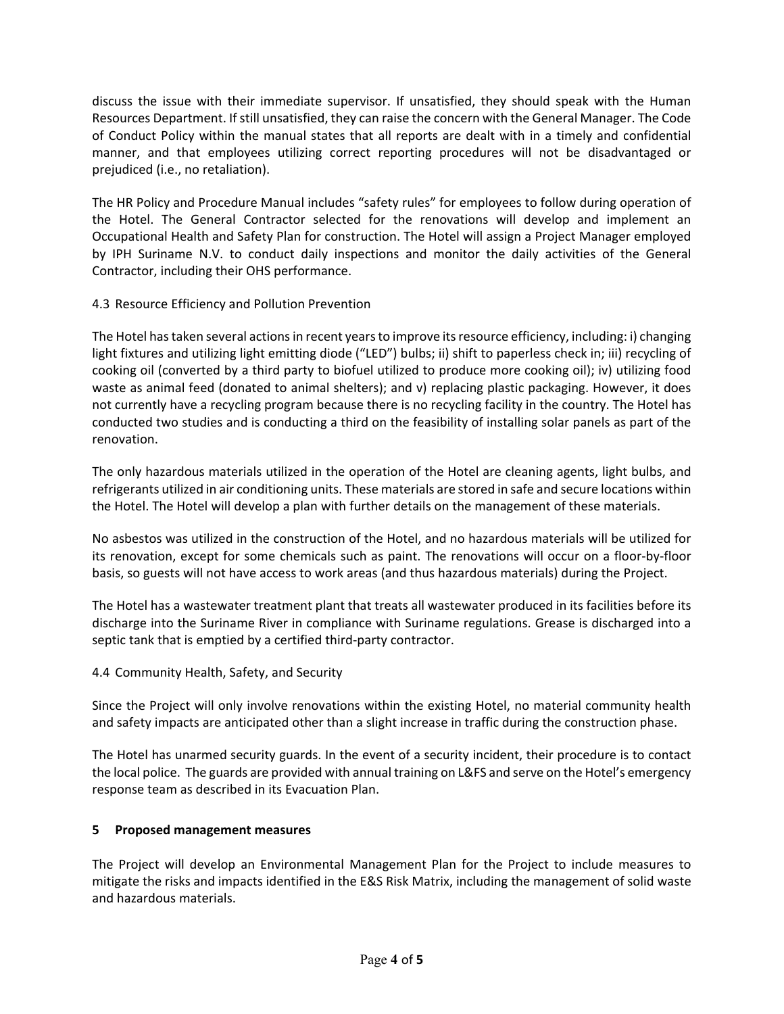discuss the issue with their immediate supervisor. If unsatisfied, they should speak with the Human Resources Department. Ifstill unsatisfied, they can raise the concern with the General Manager. The Code of Conduct Policy within the manual states that all reports are dealt with in a timely and confidential manner, and that employees utilizing correct reporting procedures will not be disadvantaged or prejudiced (i.e., no retaliation).

The HR Policy and Procedure Manual includes "safety rules" for employees to follow during operation of the Hotel. The General Contractor selected for the renovations will develop and implement an Occupational Health and Safety Plan for construction. The Hotel will assign a Project Manager employed by IPH Suriname N.V. to conduct daily inspections and monitor the daily activities of the General Contractor, including their OHS performance.

# 4.3 Resource Efficiency and Pollution Prevention

The Hotel has taken several actions in recent years to improve its resource efficiency, including: i) changing light fixtures and utilizing light emitting diode ("LED") bulbs; ii) shift to paperless check in; iii) recycling of cooking oil (converted by a third party to biofuel utilized to produce more cooking oil); iv) utilizing food waste as animal feed (donated to animal shelters); and v) replacing plastic packaging. However, it does not currently have a recycling program because there is no recycling facility in the country. The Hotel has conducted two studies and is conducting a third on the feasibility of installing solar panels as part of the renovation.

The only hazardous materials utilized in the operation of the Hotel are cleaning agents, light bulbs, and refrigerants utilized in air conditioning units. These materials are stored in safe and secure locations within the Hotel. The Hotel will develop a plan with further details on the management of these materials.

No asbestos was utilized in the construction of the Hotel, and no hazardous materials will be utilized for its renovation, except for some chemicals such as paint. The renovations will occur on a floor‐by‐floor basis, so guests will not have access to work areas (and thus hazardous materials) during the Project.

The Hotel has a wastewater treatment plant that treats all wastewater produced in its facilities before its discharge into the Suriname River in compliance with Suriname regulations. Grease is discharged into a septic tank that is emptied by a certified third‐party contractor.

# 4.4 Community Health, Safety, and Security

Since the Project will only involve renovations within the existing Hotel, no material community health and safety impacts are anticipated other than a slight increase in traffic during the construction phase.

The Hotel has unarmed security guards. In the event of a security incident, their procedure is to contact the local police. The guards are provided with annual training on L&FS and serve on the Hotel's emergency response team as described in its Evacuation Plan.

## **5 Proposed management measures**

The Project will develop an Environmental Management Plan for the Project to include measures to mitigate the risks and impacts identified in the E&S Risk Matrix, including the management of solid waste and hazardous materials.